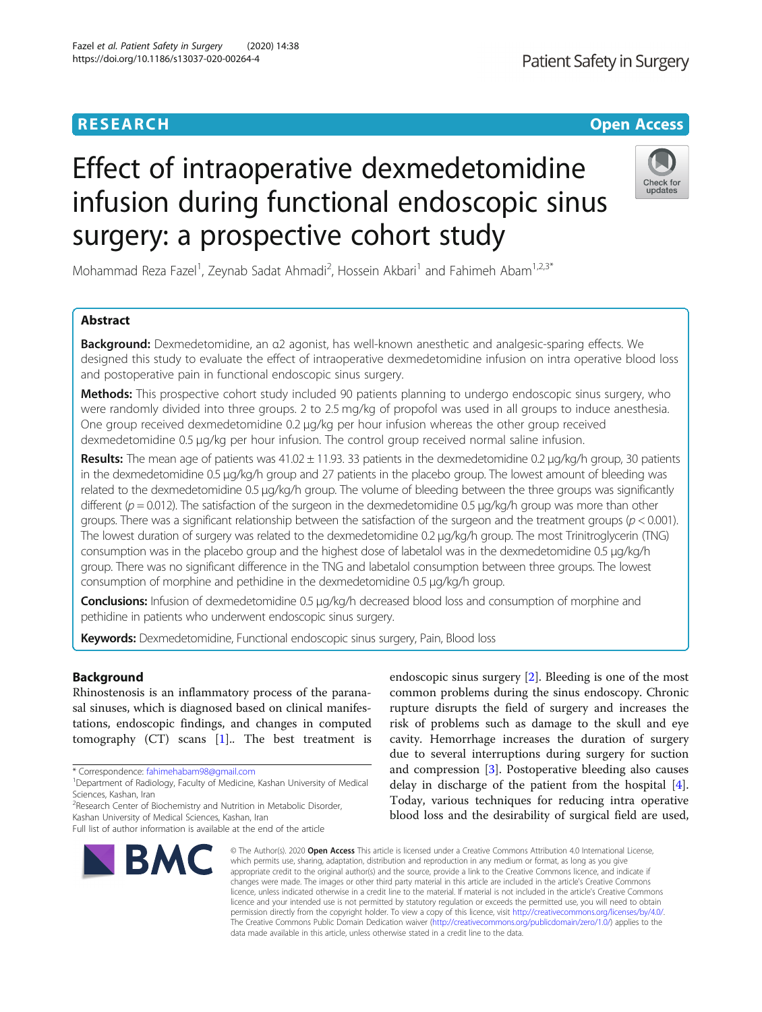# Effect of intraoperative dexmedetomidine infusion during functional endoscopic sinus surgery: a prospective cohort study

Mohammad Reza Fazel<sup>1</sup>, Zeynab Sadat Ahmadi<sup>2</sup>, Hossein Akbari<sup>1</sup> and Fahimeh Abam<sup>1,2,3\*</sup>

# Abstract

Background: Dexmedetomidine, an α2 agonist, has well-known anesthetic and analgesic-sparing effects. We designed this study to evaluate the effect of intraoperative dexmedetomidine infusion on intra operative blood loss and postoperative pain in functional endoscopic sinus surgery.

Methods: This prospective cohort study included 90 patients planning to undergo endoscopic sinus surgery, who were randomly divided into three groups. 2 to 2.5 mg/kg of propofol was used in all groups to induce anesthesia. One group received dexmedetomidine 0.2 μg/kg per hour infusion whereas the other group received dexmedetomidine 0.5 μg/kg per hour infusion. The control group received normal saline infusion.

Results: The mean age of patients was  $41.02 \pm 11.93$ . 33 patients in the dexmedetomidine 0.2  $\mu q/kq/h$  group, 30 patients in the dexmedetomidine 0.5 μg/kg/h group and 27 patients in the placebo group. The lowest amount of bleeding was related to the dexmedetomidine 0.5 μg/kg/h group. The volume of bleeding between the three groups was significantly different ( $p = 0.012$ ). The satisfaction of the surgeon in the dexmedetomidine 0.5  $\mu$ g/kg/h group was more than other groups. There was a significant relationship between the satisfaction of the surgeon and the treatment groups ( $p < 0.001$ ). The lowest duration of surgery was related to the dexmedetomidine 0.2 μg/kg/h group. The most Trinitroglycerin (TNG) consumption was in the placebo group and the highest dose of labetalol was in the dexmedetomidine 0.5 μg/kg/h group. There was no significant difference in the TNG and labetalol consumption between three groups. The lowest consumption of morphine and pethidine in the dexmedetomidine 0.5 μg/kg/h group.

Conclusions: Infusion of dexmedetomidine 0.5 μg/kg/h decreased blood loss and consumption of morphine and pethidine in patients who underwent endoscopic sinus surgery.

Keywords: Dexmedetomidine, Functional endoscopic sinus surgery, Pain, Blood loss

# Background

Rhinostenosis is an inflammatory process of the paranasal sinuses, which is diagnosed based on clinical manifestations, endoscopic findings, and changes in computed tomography  $(CT)$  scans  $[1]$  $[1]$ . The best treatment is

\* Correspondence: [fahimehabam98@gmail.com](mailto:fahimehabam98@gmail.com) <sup>1</sup>

endoscopic sinus surgery [\[2](#page-5-0)]. Bleeding is one of the most common problems during the sinus endoscopy. Chronic rupture disrupts the field of surgery and increases the risk of problems such as damage to the skull and eye cavity. Hemorrhage increases the duration of surgery due to several interruptions during surgery for suction and compression [\[3\]](#page-5-0). Postoperative bleeding also causes delay in discharge of the patient from the hospital [\[4](#page-5-0)]. Today, various techniques for reducing intra operative blood loss and the desirability of surgical field are used,

© The Author(s), 2020 **Open Access** This article is licensed under a Creative Commons Attribution 4.0 International License, which permits use, sharing, adaptation, distribution and reproduction in any medium or format, as long as you give appropriate credit to the original author(s) and the source, provide a link to the Creative Commons licence, and indicate if changes were made. The images or other third party material in this article are included in the article's Creative Commons licence, unless indicated otherwise in a credit line to the material. If material is not included in the article's Creative Commons licence and your intended use is not permitted by statutory regulation or exceeds the permitted use, you will need to obtain permission directly from the copyright holder. To view a copy of this licence, visit [http://creativecommons.org/licenses/by/4.0/.](http://creativecommons.org/licenses/by/4.0/) The Creative Commons Public Domain Dedication waiver [\(http://creativecommons.org/publicdomain/zero/1.0/](http://creativecommons.org/publicdomain/zero/1.0/)) applies to the data made available in this article, unless otherwise stated in a credit line to the data.

<sup>2</sup> Research Center of Biochemistry and Nutrition in Metabolic Disorder, Kashan University of Medical Sciences, Kashan, Iran

**BMC** 





<sup>&</sup>lt;sup>1</sup>Department of Radiology, Faculty of Medicine, Kashan University of Medical Sciences, Kashan, Iran

Full list of author information is available at the end of the article

Fazel et al. Patient Safety in Surgery (2020) 14:38 https://doi.org/10.1186/s13037-020-00264-4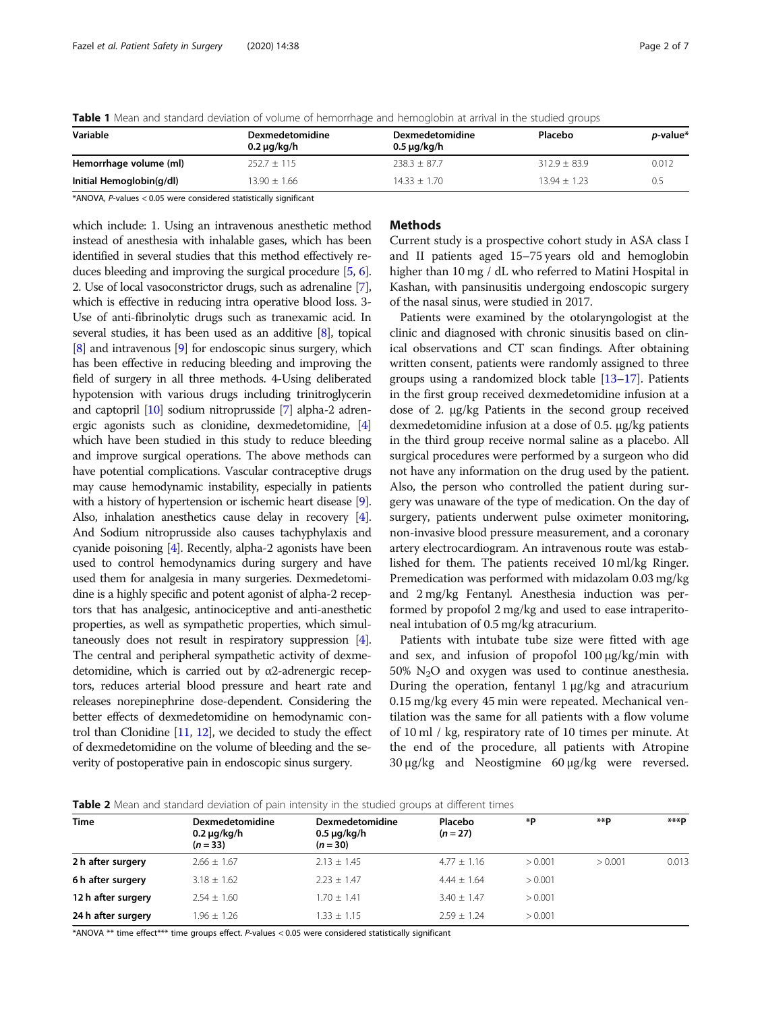| Variable                 | <b>Dexmedetomidine</b><br>0.2 µg/kg/h | <b>Dexmedetomidine</b><br>$0.5 \mu g/kg/h$ | Placebo          | <i>p</i> -value* |
|--------------------------|---------------------------------------|--------------------------------------------|------------------|------------------|
| Hemorrhage volume (ml)   | $252.7 \pm 115$                       | $238.3 \pm 87.7$                           | $312.9 \pm 83.9$ | 0.012            |
| Initial Hemoglobin(g/dl) | $13.90 + 1.66$                        | $14.33 + 1.70$                             | $13.94 + 1.23$   | 0.5              |

<span id="page-1-0"></span>Table 1 Mean and standard deviation of volume of hemorrhage and hemoglobin at arrival in the studied groups

\*ANOVA, P-values < 0.05 were considered statistically significant

which include: 1. Using an intravenous anesthetic method instead of anesthesia with inhalable gases, which has been identified in several studies that this method effectively reduces bleeding and improving the surgical procedure [\[5,](#page-5-0) [6](#page-5-0)]. 2. Use of local vasoconstrictor drugs, such as adrenaline [[7](#page-5-0)], which is effective in reducing intra operative blood loss. 3- Use of anti-fibrinolytic drugs such as tranexamic acid. In several studies, it has been used as an additive [\[8\]](#page-5-0), topical [[8](#page-5-0)] and intravenous [\[9\]](#page-5-0) for endoscopic sinus surgery, which has been effective in reducing bleeding and improving the field of surgery in all three methods. 4-Using deliberated hypotension with various drugs including trinitroglycerin and captopril [\[10\]](#page-5-0) sodium nitroprusside [\[7](#page-5-0)] alpha-2 adrenergic agonists such as clonidine, dexmedetomidine, [[4](#page-5-0)] which have been studied in this study to reduce bleeding and improve surgical operations. The above methods can have potential complications. Vascular contraceptive drugs may cause hemodynamic instability, especially in patients with a history of hypertension or ischemic heart disease [[9](#page-5-0)]. Also, inhalation anesthetics cause delay in recovery [[4](#page-5-0)]. And Sodium nitroprusside also causes tachyphylaxis and cyanide poisoning [\[4](#page-5-0)]. Recently, alpha-2 agonists have been used to control hemodynamics during surgery and have used them for analgesia in many surgeries. Dexmedetomidine is a highly specific and potent agonist of alpha-2 receptors that has analgesic, antinociceptive and anti-anesthetic properties, as well as sympathetic properties, which simultaneously does not result in respiratory suppression [[4](#page-5-0)]. The central and peripheral sympathetic activity of dexmedetomidine, which is carried out by α2-adrenergic receptors, reduces arterial blood pressure and heart rate and releases norepinephrine dose-dependent. Considering the better effects of dexmedetomidine on hemodynamic control than Clonidine [\[11](#page-5-0), [12\]](#page-5-0), we decided to study the effect of dexmedetomidine on the volume of bleeding and the severity of postoperative pain in endoscopic sinus surgery.

# Methods

Current study is a prospective cohort study in ASA class I and II patients aged 15–75 years old and hemoglobin higher than 10 mg / dL who referred to Matini Hospital in Kashan, with pansinusitis undergoing endoscopic surgery of the nasal sinus, were studied in 2017.

Patients were examined by the otolaryngologist at the clinic and diagnosed with chronic sinusitis based on clinical observations and CT scan findings. After obtaining written consent, patients were randomly assigned to three groups using a randomized block table [[13](#page-5-0)–[17\]](#page-5-0). Patients in the first group received dexmedetomidine infusion at a dose of 2. μg/kg Patients in the second group received dexmedetomidine infusion at a dose of 0.5. μg/kg patients in the third group receive normal saline as a placebo. All surgical procedures were performed by a surgeon who did not have any information on the drug used by the patient. Also, the person who controlled the patient during surgery was unaware of the type of medication. On the day of surgery, patients underwent pulse oximeter monitoring, non-invasive blood pressure measurement, and a coronary artery electrocardiogram. An intravenous route was established for them. The patients received 10 ml/kg Ringer. Premedication was performed with midazolam 0.03 mg/kg and 2 mg/kg Fentanyl. Anesthesia induction was performed by propofol 2 mg/kg and used to ease intraperitoneal intubation of 0.5 mg/kg atracurium.

Patients with intubate tube size were fitted with age and sex, and infusion of propofol 100 μg/kg/min with 50%  $N<sub>2</sub>O$  and oxygen was used to continue anesthesia. During the operation, fentanyl 1 μg/kg and atracurium 0.15 mg/kg every 45 min were repeated. Mechanical ventilation was the same for all patients with a flow volume of 10 ml / kg, respiratory rate of 10 times per minute. At the end of the procedure, all patients with Atropine 30 μg/kg and Neostigmine 60 μg/kg were reversed.

| <b>Table 2</b> Mean and standard deviation of pain intensity in the studied groups at different times |  |  |  |
|-------------------------------------------------------------------------------------------------------|--|--|--|
|-------------------------------------------------------------------------------------------------------|--|--|--|

| <b>Time</b>        | <b>Dexmedetomidine</b><br>$0.2 \mu g/kg/h$<br>$(n = 33)$ | Dexmedetomidine<br>$0.5 \mu g/kg/h$<br>$(n = 30)$ | Placebo<br>$(n = 27)$ | *Р      | **D     | ***P  |
|--------------------|----------------------------------------------------------|---------------------------------------------------|-----------------------|---------|---------|-------|
| 2 h after surgery  | $2.66 + 1.67$                                            | $2.13 + 1.45$                                     | $4.77 + 1.16$         | > 0.001 | > 0.001 | 0.013 |
| 6 h after surgery  | $3.18 \pm 1.62$                                          | $2.23 + 1.47$                                     | $4.44 + 1.64$         | > 0.001 |         |       |
| 12 h after surgery | $2.54 + 1.60$                                            | $1.70 \pm 1.41$                                   | $3.40 + 1.47$         | > 0.001 |         |       |
| 24 h after surgery | $1.96 + 1.26$                                            | $1.33 \pm 1.15$                                   | $2.59 + 1.24$         | > 0.001 |         |       |

\*ANOVA \*\* time effect\*\*\* time groups effect. P-values < 0.05 were considered statistically significant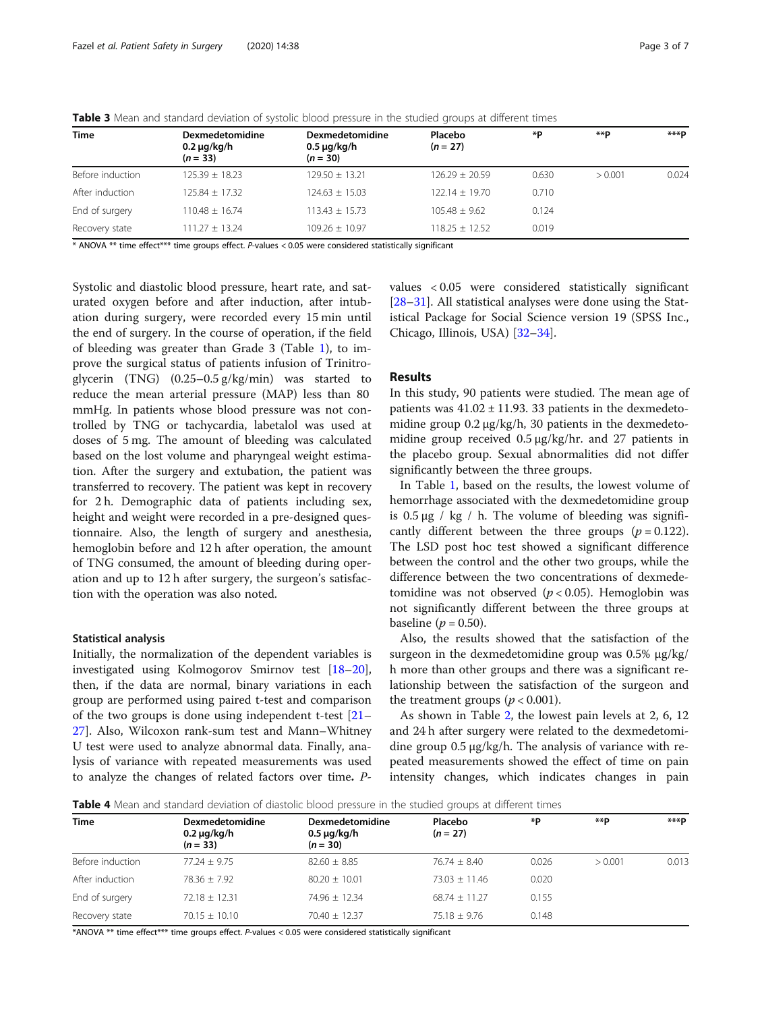| <b>Time</b>      | <b>Dexmedetomidine</b><br>$0.2 \mu g/kg/h$<br>$(n = 33)$ | <b>Dexmedetomidine</b><br>$0.5 \mu g/kg/h$<br>$(n = 30)$ | Placebo<br>$(n = 27)$ | *P    | **D     | ***P  |
|------------------|----------------------------------------------------------|----------------------------------------------------------|-----------------------|-------|---------|-------|
| Before induction | $125.39 \pm 18.23$                                       | $129.50 + 13.21$                                         | $126.29 \pm 20.59$    | 0.630 | > 0.001 | 0.024 |
| After induction  | $125.84 + 17.32$                                         | $124.63 + 15.03$                                         | $122.14 \pm 19.70$    | 0.710 |         |       |
| End of surgery   | $110.48 + 16.74$                                         | $113.43 + 15.73$                                         | $105.48 + 9.62$       | 0.124 |         |       |
| Recovery state   | $111.27 \pm 13.24$                                       | $109.26 + 10.97$                                         | $118.25 \pm 12.52$    | 0.019 |         |       |
|                  |                                                          |                                                          |                       |       |         |       |

<span id="page-2-0"></span>Table 3 Mean and standard deviation of systolic blood pressure in the studied groups at different times

\* ANOVA \*\* time effect\*\*\* time groups effect. P-values < 0.05 were considered statistically significant

Systolic and diastolic blood pressure, heart rate, and saturated oxygen before and after induction, after intubation during surgery, were recorded every 15 min until the end of surgery. In the course of operation, if the field of bleeding was greater than Grade 3 (Table [1](#page-1-0)), to improve the surgical status of patients infusion of Trinitroglycerin (TNG) (0.25–0.5 g/kg/min) was started to reduce the mean arterial pressure (MAP) less than 80 mmHg. In patients whose blood pressure was not controlled by TNG or tachycardia, labetalol was used at doses of 5 mg. The amount of bleeding was calculated based on the lost volume and pharyngeal weight estimation. After the surgery and extubation, the patient was transferred to recovery. The patient was kept in recovery for 2 h. Demographic data of patients including sex, height and weight were recorded in a pre-designed questionnaire. Also, the length of surgery and anesthesia, hemoglobin before and 12 h after operation, the amount of TNG consumed, the amount of bleeding during operation and up to 12 h after surgery, the surgeon's satisfaction with the operation was also noted.

## Statistical analysis

Initially, the normalization of the dependent variables is investigated using Kolmogorov Smirnov test [[18](#page-5-0)–[20](#page-5-0)], then, if the data are normal, binary variations in each group are performed using paired t-test and comparison of the two groups is done using independent t-test [[21](#page-5-0)– [27\]](#page-5-0). Also, Wilcoxon rank-sum test and Mann–Whitney U test were used to analyze abnormal data. Finally, analysis of variance with repeated measurements was used to analyze the changes of related factors over time. P- values < 0.05 were considered statistically significant [[28](#page-5-0)–[31](#page-5-0)]. All statistical analyses were done using the Statistical Package for Social Science version 19 (SPSS Inc., Chicago, Illinois, USA) [\[32](#page-5-0)–[34\]](#page-6-0).

# Results

In this study, 90 patients were studied. The mean age of patients was  $41.02 \pm 11.93$ . 33 patients in the dexmedetomidine group 0.2 μg/kg/h, 30 patients in the dexmedetomidine group received 0.5 μg/kg/hr. and 27 patients in the placebo group. Sexual abnormalities did not differ significantly between the three groups.

In Table [1](#page-1-0), based on the results, the lowest volume of hemorrhage associated with the dexmedetomidine group is  $0.5 \mu$ g / kg / h. The volume of bleeding was significantly different between the three groups ( $p = 0.122$ ). The LSD post hoc test showed a significant difference between the control and the other two groups, while the difference between the two concentrations of dexmedetomidine was not observed ( $p < 0.05$ ). Hemoglobin was not significantly different between the three groups at baseline ( $p = 0.50$ ).

Also, the results showed that the satisfaction of the surgeon in the dexmedetomidine group was 0.5% μg/kg/ h more than other groups and there was a significant relationship between the satisfaction of the surgeon and the treatment groups ( $p < 0.001$ ).

As shown in Table [2](#page-1-0), the lowest pain levels at 2, 6, 12 and 24 h after surgery were related to the dexmedetomidine group 0.5 μg/kg/h. The analysis of variance with repeated measurements showed the effect of time on pain intensity changes, which indicates changes in pain

Table 4 Mean and standard deviation of diastolic blood pressure in the studied groups at different times

| <b>Time</b>      | <b>Dexmedetomidine</b><br>$0.2 \mu g/kg/h$<br>$(n = 33)$ | Dexmedetomidine<br>$0.5 \mu g/kg/h$<br>$(n = 30)$ | Placebo<br>$(n = 27)$ | *Р    | **D     | ***P  |
|------------------|----------------------------------------------------------|---------------------------------------------------|-----------------------|-------|---------|-------|
| Before induction | $77.24 + 9.75$                                           | $82.60 \pm 8.85$                                  | $76.74 \pm 8.40$      | 0.026 | > 0.001 | 0.013 |
| After induction  | $78.36 + 7.92$                                           | $80.20 + 10.01$                                   | $73.03 + 11.46$       | 0.020 |         |       |
| End of surgery   | $72.18 \pm 12.31$                                        | $74.96 + 12.34$                                   | $68.74 + 11.27$       | 0.155 |         |       |
| Recovery state   | $70.15 \pm 10.10$                                        | $70.40 + 12.37$                                   | $75.18 \pm 9.76$      | 0.148 |         |       |

\*ANOVA \*\* time effect\*\*\* time groups effect. P-values < 0.05 were considered statistically significant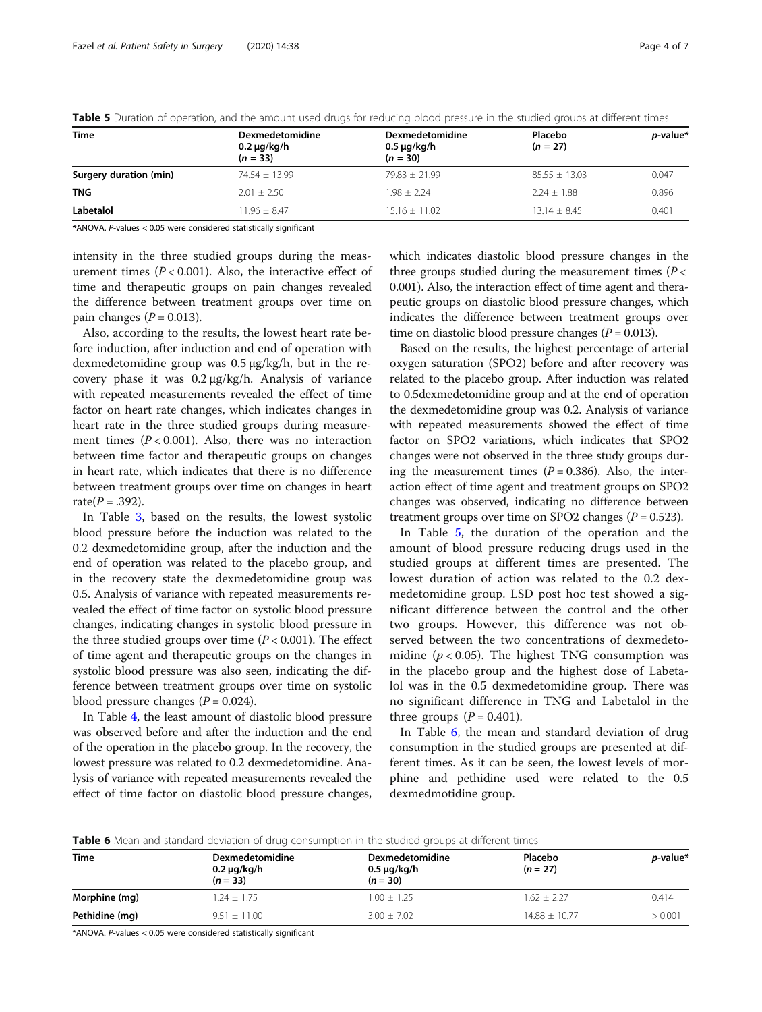| <b>Time</b>            | <b>Dexmedetomidine</b><br>$0.2 \mu g/kg/h$<br>$(n = 33)$ | <b>Dexmedetomidine</b><br>$0.5 \mu g/kg/h$<br>$(n = 30)$ | Placebo<br>$(n = 27)$ | <i>p</i> -value* |
|------------------------|----------------------------------------------------------|----------------------------------------------------------|-----------------------|------------------|
| Surgery duration (min) | $74.54 + 13.99$                                          | $79.83 \pm 21.99$                                        | $85.55 \pm 13.03$     | 0.047            |
| TNG                    | $2.01 + 2.50$                                            | $1.98 + 2.24$                                            | $2.24 + 1.88$         | 0.896            |
| Labetalol              | $11.96 + 8.47$                                           | $15.16 + 11.02$                                          | $13.14 + 8.45$        | 0.401            |

Table 5 Duration of operation, and the amount used drugs for reducing blood pressure in the studied groups at different times

\*ANOVA. P-values < 0.05 were considered statistically significant

intensity in the three studied groups during the measurement times  $(P < 0.001)$ . Also, the interactive effect of time and therapeutic groups on pain changes revealed the difference between treatment groups over time on pain changes ( $P = 0.013$ ).

Also, according to the results, the lowest heart rate before induction, after induction and end of operation with dexmedetomidine group was 0.5 μg/kg/h, but in the recovery phase it was 0.2 μg/kg/h. Analysis of variance with repeated measurements revealed the effect of time factor on heart rate changes, which indicates changes in heart rate in the three studied groups during measurement times  $(P < 0.001)$ . Also, there was no interaction between time factor and therapeutic groups on changes in heart rate, which indicates that there is no difference between treatment groups over time on changes in heart  $rate(P=.392)$ .

In Table [3,](#page-2-0) based on the results, the lowest systolic blood pressure before the induction was related to the 0.2 dexmedetomidine group, after the induction and the end of operation was related to the placebo group, and in the recovery state the dexmedetomidine group was 0.5. Analysis of variance with repeated measurements revealed the effect of time factor on systolic blood pressure changes, indicating changes in systolic blood pressure in the three studied groups over time  $(P < 0.001)$ . The effect of time agent and therapeutic groups on the changes in systolic blood pressure was also seen, indicating the difference between treatment groups over time on systolic blood pressure changes  $(P = 0.024)$ .

In Table [4](#page-2-0), the least amount of diastolic blood pressure was observed before and after the induction and the end of the operation in the placebo group. In the recovery, the lowest pressure was related to 0.2 dexmedetomidine. Analysis of variance with repeated measurements revealed the effect of time factor on diastolic blood pressure changes, which indicates diastolic blood pressure changes in the three groups studied during the measurement times ( $P <$ 0.001). Also, the interaction effect of time agent and therapeutic groups on diastolic blood pressure changes, which indicates the difference between treatment groups over time on diastolic blood pressure changes ( $P = 0.013$ ).

Based on the results, the highest percentage of arterial oxygen saturation (SPO2) before and after recovery was related to the placebo group. After induction was related to 0.5dexmedetomidine group and at the end of operation the dexmedetomidine group was 0.2. Analysis of variance with repeated measurements showed the effect of time factor on SPO2 variations, which indicates that SPO2 changes were not observed in the three study groups during the measurement times  $(P = 0.386)$ . Also, the interaction effect of time agent and treatment groups on SPO2 changes was observed, indicating no difference between treatment groups over time on SPO2 changes ( $P = 0.523$ ).

In Table 5, the duration of the operation and the amount of blood pressure reducing drugs used in the studied groups at different times are presented. The lowest duration of action was related to the 0.2 dexmedetomidine group. LSD post hoc test showed a significant difference between the control and the other two groups. However, this difference was not observed between the two concentrations of dexmedetomidine ( $p < 0.05$ ). The highest TNG consumption was in the placebo group and the highest dose of Labetalol was in the 0.5 dexmedetomidine group. There was no significant difference in TNG and Labetalol in the three groups  $(P = 0.401)$ .

In Table 6, the mean and standard deviation of drug consumption in the studied groups are presented at different times. As it can be seen, the lowest levels of morphine and pethidine used were related to the 0.5 dexmedmotidine group.

Table 6 Mean and standard deviation of drug consumption in the studied groups at different times

| <b>Time</b>    | Dexmedetomidine<br>$0.2 \mu g/kg/h$<br>$(n = 33)$ | <b>Dexmedetomidine</b><br>$0.5 \mu g/kg/h$<br>$(n = 30)$ | Placebo<br>$(n = 27)$ | <i>p</i> -value* |
|----------------|---------------------------------------------------|----------------------------------------------------------|-----------------------|------------------|
| Morphine (mg)  | $1.24 \pm 1.75$                                   | $1.00 \pm 1.25$                                          | $1.62 + 2.27$         | 0.414            |
| Pethidine (mg) | $9.51 + 11.00$                                    | $3.00 + 7.02$                                            | $14.88 + 10.77$       | > 0.001          |

\*ANOVA. P-values < 0.05 were considered statistically significant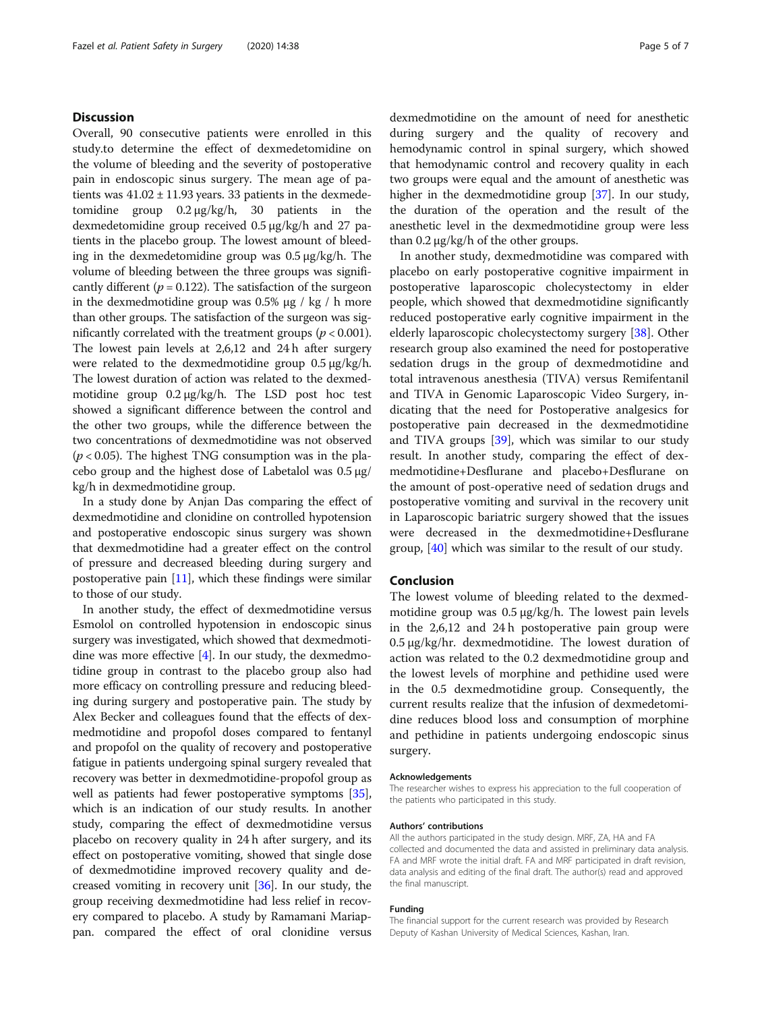# **Discussion**

Overall, 90 consecutive patients were enrolled in this study.to determine the effect of dexmedetomidine on the volume of bleeding and the severity of postoperative pain in endoscopic sinus surgery. The mean age of patients was  $41.02 \pm 11.93$  years. 33 patients in the dexmedetomidine group 0.2 μg/kg/h, 30 patients in the dexmedetomidine group received 0.5 μg/kg/h and 27 patients in the placebo group. The lowest amount of bleeding in the dexmedetomidine group was 0.5 μg/kg/h. The volume of bleeding between the three groups was significantly different ( $p = 0.122$ ). The satisfaction of the surgeon in the dexmedmotidine group was  $0.5%$  μg / kg / h more than other groups. The satisfaction of the surgeon was significantly correlated with the treatment groups ( $p < 0.001$ ). The lowest pain levels at 2,6,12 and 24 h after surgery were related to the dexmedmotidine group 0.5 μg/kg/h. The lowest duration of action was related to the dexmedmotidine group 0.2 μg/kg/h. The LSD post hoc test showed a significant difference between the control and the other two groups, while the difference between the two concentrations of dexmedmotidine was not observed  $(p < 0.05)$ . The highest TNG consumption was in the placebo group and the highest dose of Labetalol was  $0.5 \mu$ g/ kg/h in dexmedmotidine group.

In a study done by Anjan Das comparing the effect of dexmedmotidine and clonidine on controlled hypotension and postoperative endoscopic sinus surgery was shown that dexmedmotidine had a greater effect on the control of pressure and decreased bleeding during surgery and postoperative pain [\[11\]](#page-5-0), which these findings were similar to those of our study.

In another study, the effect of dexmedmotidine versus Esmolol on controlled hypotension in endoscopic sinus surgery was investigated, which showed that dexmedmotidine was more effective [\[4\]](#page-5-0). In our study, the dexmedmotidine group in contrast to the placebo group also had more efficacy on controlling pressure and reducing bleeding during surgery and postoperative pain. The study by Alex Becker and colleagues found that the effects of dexmedmotidine and propofol doses compared to fentanyl and propofol on the quality of recovery and postoperative fatigue in patients undergoing spinal surgery revealed that recovery was better in dexmedmotidine-propofol group as well as patients had fewer postoperative symptoms [[35](#page-6-0)], which is an indication of our study results. In another study, comparing the effect of dexmedmotidine versus placebo on recovery quality in 24 h after surgery, and its effect on postoperative vomiting, showed that single dose of dexmedmotidine improved recovery quality and decreased vomiting in recovery unit [[36](#page-6-0)]. In our study, the group receiving dexmedmotidine had less relief in recovery compared to placebo. A study by Ramamani Mariappan. compared the effect of oral clonidine versus dexmedmotidine on the amount of need for anesthetic during surgery and the quality of recovery and hemodynamic control in spinal surgery, which showed that hemodynamic control and recovery quality in each two groups were equal and the amount of anesthetic was higher in the dexmedmotidine group [\[37](#page-6-0)]. In our study, the duration of the operation and the result of the anesthetic level in the dexmedmotidine group were less than  $0.2 \mu$ g/kg/h of the other groups.

In another study, dexmedmotidine was compared with placebo on early postoperative cognitive impairment in postoperative laparoscopic cholecystectomy in elder people, which showed that dexmedmotidine significantly reduced postoperative early cognitive impairment in the elderly laparoscopic cholecystectomy surgery [[38\]](#page-6-0). Other research group also examined the need for postoperative sedation drugs in the group of dexmedmotidine and total intravenous anesthesia (TIVA) versus Remifentanil and TIVA in Genomic Laparoscopic Video Surgery, indicating that the need for Postoperative analgesics for postoperative pain decreased in the dexmedmotidine and TIVA groups [[39\]](#page-6-0), which was similar to our study result. In another study, comparing the effect of dexmedmotidine+Desflurane and placebo+Desflurane on the amount of post-operative need of sedation drugs and postoperative vomiting and survival in the recovery unit in Laparoscopic bariatric surgery showed that the issues were decreased in the dexmedmotidine+Desflurane group, [\[40\]](#page-6-0) which was similar to the result of our study.

# Conclusion

The lowest volume of bleeding related to the dexmedmotidine group was 0.5 μg/kg/h. The lowest pain levels in the 2,6,12 and 24 h postoperative pain group were 0.5 μg/kg/hr. dexmedmotidine. The lowest duration of action was related to the 0.2 dexmedmotidine group and the lowest levels of morphine and pethidine used were in the 0.5 dexmedmotidine group. Consequently, the current results realize that the infusion of dexmedetomidine reduces blood loss and consumption of morphine and pethidine in patients undergoing endoscopic sinus surgery.

#### Acknowledgements

The researcher wishes to express his appreciation to the full cooperation of the patients who participated in this study.

# Authors' contributions

All the authors participated in the study design. MRF, ZA, HA and FA collected and documented the data and assisted in preliminary data analysis. FA and MRF wrote the initial draft. FA and MRF participated in draft revision, data analysis and editing of the final draft. The author(s) read and approved the final manuscript.

#### Funding

The financial support for the current research was provided by Research Deputy of Kashan University of Medical Sciences, Kashan, Iran.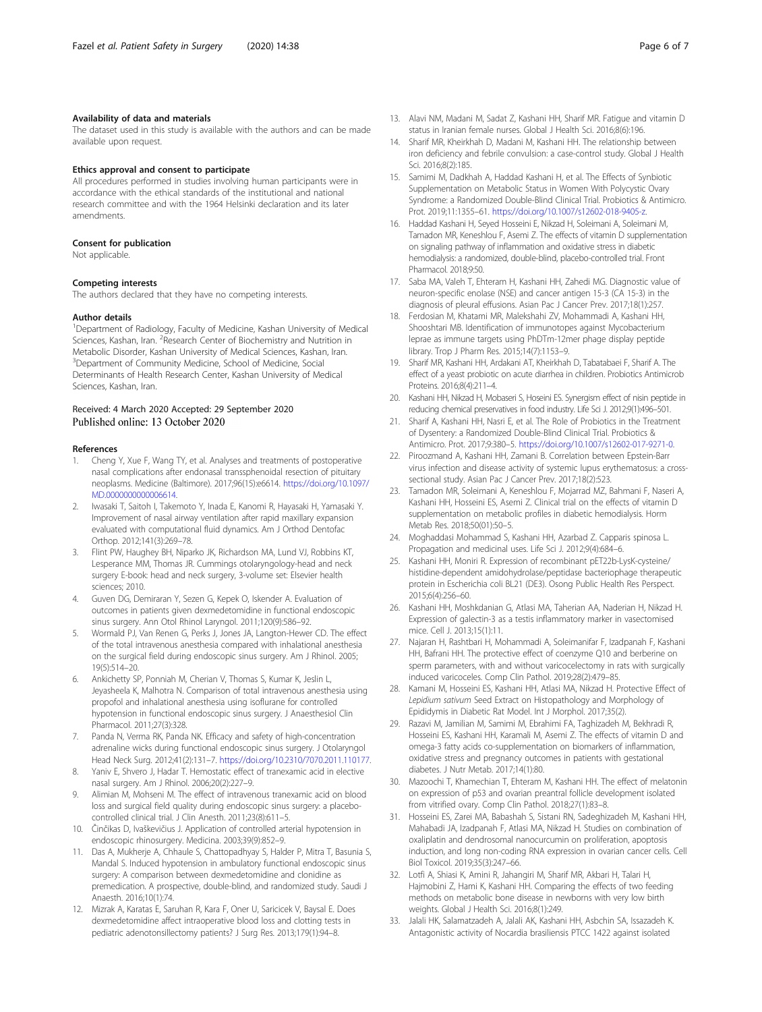# <span id="page-5-0"></span>Availability of data and materials

The dataset used in this study is available with the authors and can be made available upon request.

### Ethics approval and consent to participate

All procedures performed in studies involving human participants were in accordance with the ethical standards of the institutional and national research committee and with the 1964 Helsinki declaration and its later amendments.

# Consent for publication

Not applicable.

#### Competing interests

The authors declared that they have no competing interests.

#### Author details

<sup>1</sup>Department of Radiology, Faculty of Medicine, Kashan University of Medical Sciences, Kashan, Iran. <sup>2</sup>Research Center of Biochemistry and Nutrition in Metabolic Disorder, Kashan University of Medical Sciences, Kashan, Iran. <sup>3</sup>Department of Community Medicine, School of Medicine, Social Determinants of Health Research Center, Kashan University of Medical Sciences, Kashan, Iran.

# Received: 4 March 2020 Accepted: 29 September 2020 Published online: 13 October 2020

## References

- 1. Cheng Y, Xue F, Wang TY, et al. Analyses and treatments of postoperative nasal complications after endonasal transsphenoidal resection of pituitary neoplasms. Medicine (Baltimore). 2017;96(15):e6614. [https://doi.org/10.1097/](https://doi.org/10.1097/MD.0000000000006614) [MD.0000000000006614.](https://doi.org/10.1097/MD.0000000000006614)
- 2. Iwasaki T, Saitoh I, Takemoto Y, Inada E, Kanomi R, Hayasaki H, Yamasaki Y. Improvement of nasal airway ventilation after rapid maxillary expansion evaluated with computational fluid dynamics. Am J Orthod Dentofac Orthop. 2012;141(3):269–78.
- 3. Flint PW, Haughey BH, Niparko JK, Richardson MA, Lund VJ, Robbins KT, Lesperance MM, Thomas JR. Cummings otolaryngology-head and neck surgery E-book: head and neck surgery, 3-volume set: Elsevier health sciences; 2010.
- 4. Guven DG, Demiraran Y, Sezen G, Kepek O, Iskender A. Evaluation of outcomes in patients given dexmedetomidine in functional endoscopic sinus surgery. Ann Otol Rhinol Laryngol. 2011;120(9):586–92.
- 5. Wormald PJ, Van Renen G, Perks J, Jones JA, Langton-Hewer CD. The effect of the total intravenous anesthesia compared with inhalational anesthesia on the surgical field during endoscopic sinus surgery. Am J Rhinol. 2005; 19(5):514–20.
- 6. Ankichetty SP, Ponniah M, Cherian V, Thomas S, Kumar K, Jeslin L, Jeyasheela K, Malhotra N. Comparison of total intravenous anesthesia using propofol and inhalational anesthesia using isoflurane for controlled hypotension in functional endoscopic sinus surgery. J Anaesthesiol Clin Pharmacol. 2011;27(3):328.
- 7. Panda N, Verma RK, Panda NK. Efficacy and safety of high-concentration adrenaline wicks during functional endoscopic sinus surgery. J Otolaryngol Head Neck Surg. 2012;41(2):131–7. <https://doi.org/10.2310/7070.2011.110177>.
- 8. Yaniv E, Shvero J, Hadar T. Hemostatic effect of tranexamic acid in elective nasal surgery. Am J Rhinol. 2006;20(2):227–9.
- 9. Alimian M, Mohseni M. The effect of intravenous tranexamic acid on blood loss and surgical field quality during endoscopic sinus surgery: a placebocontrolled clinical trial. J Clin Anesth. 2011;23(8):611–5.
- 10. Činčikas D, Ivaškevičius J. Application of controlled arterial hypotension in endoscopic rhinosurgery. Medicina. 2003;39(9):852–9.
- 11. Das A, Mukherje A, Chhaule S, Chattopadhyay S, Halder P, Mitra T, Basunia S, Mandal S. Induced hypotension in ambulatory functional endoscopic sinus surgery: A comparison between dexmedetomidine and clonidine as premedication. A prospective, double-blind, and randomized study. Saudi J Anaesth. 2016;10(1):74.
- 12. Mizrak A, Karatas E, Saruhan R, Kara F, Oner U, Saricicek V, Baysal E. Does dexmedetomidine affect intraoperative blood loss and clotting tests in pediatric adenotonsillectomy patients? J Surg Res. 2013;179(1):94–8.
- 13. Alavi NM, Madani M, Sadat Z, Kashani HH, Sharif MR. Fatigue and vitamin D status in Iranian female nurses. Global J Health Sci. 2016;8(6):196.
- 14. Sharif MR, Kheirkhah D, Madani M, Kashani HH. The relationship between iron deficiency and febrile convulsion: a case-control study. Global J Health Sci. 2016;8(2):185.
- 15. Samimi M, Dadkhah A, Haddad Kashani H, et al. The Effects of Synbiotic Supplementation on Metabolic Status in Women With Polycystic Ovary Syndrome: a Randomized Double-Blind Clinical Trial. Probiotics & Antimicro. Prot. 2019;11:1355–61. [https://doi.org/10.1007/s12602-018-9405-z.](https://doi.org/10.1007/s12602-018-9405-z)
- 16. Haddad Kashani H, Seyed Hosseini E, Nikzad H, Soleimani A, Soleimani M, Tamadon MR, Keneshlou F, Asemi Z. The effects of vitamin D supplementation on signaling pathway of inflammation and oxidative stress in diabetic hemodialysis: a randomized, double-blind, placebo-controlled trial. Front Pharmacol. 2018;9:50.
- 17. Saba MA, Valeh T, Ehteram H, Kashani HH, Zahedi MG. Diagnostic value of neuron-specific enolase (NSE) and cancer antigen 15-3 (CA 15-3) in the diagnosis of pleural effusions. Asian Pac J Cancer Prev. 2017;18(1):257.
- 18. Ferdosian M, Khatami MR, Malekshahi ZV, Mohammadi A, Kashani HH, Shooshtari MB. Identification of immunotopes against Mycobacterium leprae as immune targets using PhDTm-12mer phage display peptide library. Trop J Pharm Res. 2015;14(7):1153–9.
- 19. Sharif MR, Kashani HH, Ardakani AT, Kheirkhah D, Tabatabaei F, Sharif A. The effect of a yeast probiotic on acute diarrhea in children. Probiotics Antimicrob Proteins. 2016;8(4):211–4.
- 20. Kashani HH, Nikzad H, Mobaseri S, Hoseini ES. Synergism effect of nisin peptide in reducing chemical preservatives in food industry. Life Sci J. 2012;9(1):496–501.
- 21. Sharif A, Kashani HH, Nasri E, et al. The Role of Probiotics in the Treatment of Dysentery: a Randomized Double-Blind Clinical Trial. Probiotics & Antimicro. Prot. 2017;9:380–5. <https://doi.org/10.1007/s12602-017-9271-0>.
- 22. Piroozmand A, Kashani HH, Zamani B. Correlation between Epstein-Barr virus infection and disease activity of systemic lupus erythematosus: a crosssectional study. Asian Pac J Cancer Prev. 2017;18(2):523.
- 23. Tamadon MR, Soleimani A, Keneshlou F, Mojarrad MZ, Bahmani F, Naseri A, Kashani HH, Hosseini ES, Asemi Z. Clinical trial on the effects of vitamin D supplementation on metabolic profiles in diabetic hemodialysis. Horm Metab Res. 2018;50(01):50–5.
- 24. Moghaddasi Mohammad S, Kashani HH, Azarbad Z. Capparis spinosa L. Propagation and medicinal uses. Life Sci J. 2012;9(4):684–6.
- 25. Kashani HH, Moniri R. Expression of recombinant pET22b-LysK-cysteine/ histidine-dependent amidohydrolase/peptidase bacteriophage therapeutic protein in Escherichia coli BL21 (DE3). Osong Public Health Res Perspect. 2015;6(4):256–60.
- 26. Kashani HH, Moshkdanian G, Atlasi MA, Taherian AA, Naderian H, Nikzad H. Expression of galectin-3 as a testis inflammatory marker in vasectomised mice. Cell J. 2013;15(1):11.
- 27. Najaran H, Rashtbari H, Mohammadi A, Soleimanifar F, Izadpanah F, Kashani HH, Bafrani HH. The protective effect of coenzyme Q10 and berberine on sperm parameters, with and without varicocelectomy in rats with surgically induced varicoceles. Comp Clin Pathol. 2019;28(2):479–85.
- 28. Kamani M, Hosseini ES, Kashani HH, Atlasi MA, Nikzad H. Protective Effect of Lepidium sativum Seed Extract on Histopathology and Morphology of Epididymis in Diabetic Rat Model. Int J Morphol. 2017;35(2).
- 29. Razavi M, Jamilian M, Samimi M, Ebrahimi FA, Taghizadeh M, Bekhradi R, Hosseini ES, Kashani HH, Karamali M, Asemi Z. The effects of vitamin D and omega-3 fatty acids co-supplementation on biomarkers of inflammation, oxidative stress and pregnancy outcomes in patients with gestational diabetes. J Nutr Metab. 2017;14(1):80.
- 30. Mazoochi T, Khamechian T, Ehteram M, Kashani HH. The effect of melatonin on expression of p53 and ovarian preantral follicle development isolated from vitrified ovary. Comp Clin Pathol. 2018;27(1):83–8.
- 31. Hosseini ES, Zarei MA, Babashah S, Sistani RN, Sadeghizadeh M, Kashani HH, Mahabadi JA, Izadpanah F, Atlasi MA, Nikzad H. Studies on combination of oxaliplatin and dendrosomal nanocurcumin on proliferation, apoptosis induction, and long non-coding RNA expression in ovarian cancer cells. Cell Biol Toxicol. 2019;35(3):247–66.
- 32. Lotfi A, Shiasi K, Amini R, Jahangiri M, Sharif MR, Akbari H, Talari H, Hajmobini Z, Hami K, Kashani HH. Comparing the effects of two feeding methods on metabolic bone disease in newborns with very low birth weights. Global J Health Sci. 2016;8(1):249.
- 33. Jalali HK, Salamatzadeh A, Jalali AK, Kashani HH, Asbchin SA, Issazadeh K. Antagonistic activity of Nocardia brasiliensis PTCC 1422 against isolated